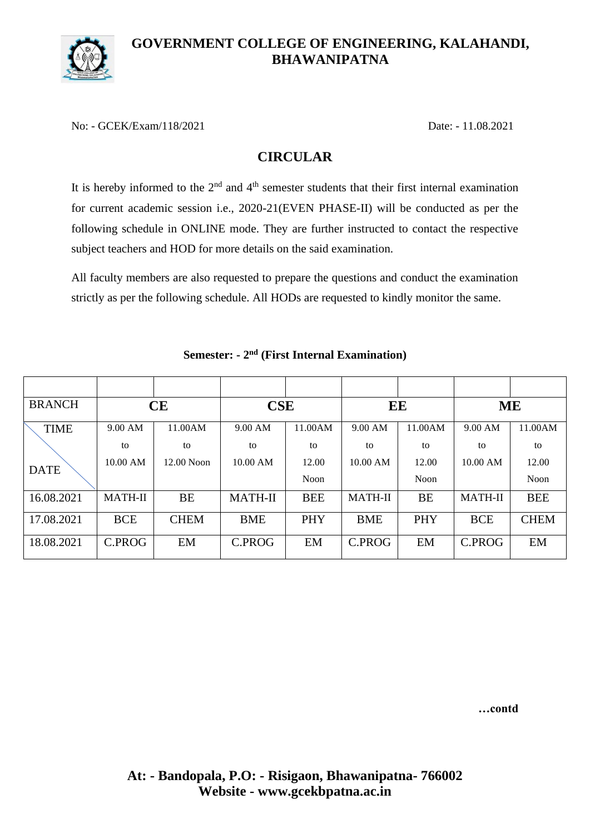

### **GOVERNMENT COLLEGE OF ENGINEERING, KALAHANDI, BHAWANIPATNA**

No: - GCEK/Exam/118/2021 Date: - 11.08.2021

# **CIRCULAR**

It is hereby informed to the  $2<sup>nd</sup>$  and  $4<sup>th</sup>$  semester students that their first internal examination for current academic session i.e., 2020-21(EVEN PHASE-II) will be conducted as per the following schedule in ONLINE mode. They are further instructed to contact the respective subject teachers and HOD for more details on the said examination.

All faculty members are also requested to prepare the questions and conduct the examination strictly as per the following schedule. All HODs are requested to kindly monitor the same.

| <b>BRANCH</b> | CE             |              | <b>CSE</b>     |            | EE             |             | <b>ME</b>      |             |
|---------------|----------------|--------------|----------------|------------|----------------|-------------|----------------|-------------|
| <b>TIME</b>   | 9.00 AM        | 11.00AM      | 9.00 AM        | 11.00AM    | $9.00$ AM      | 11.00AM     | 9.00 AM        | 11.00AM     |
|               | to             | to           | to             | to         | to             | to          | to             | to          |
| <b>DATE</b>   | 10.00 AM       | $12.00$ Noon | 10.00 AM       | 12.00      | $10.00$ AM     | 12.00       | 10.00 AM       | 12.00       |
|               |                |              |                | Noon       |                | <b>Noon</b> |                | Noon        |
| 16.08.2021    | <b>MATH-II</b> | <b>BE</b>    | <b>MATH-II</b> | <b>BEE</b> | <b>MATH-II</b> | <b>BE</b>   | <b>MATH-II</b> | <b>BEE</b>  |
| 17.08.2021    | <b>BCE</b>     | <b>CHEM</b>  | <b>BME</b>     | PHY        | <b>BME</b>     | PHY         | <b>BCE</b>     | <b>CHEM</b> |
| 18.08.2021    | C.PROG         | EM           | C.PROG         | EM         | C.PROG         | EM          | C.PROG         | EM          |

### **Semester: - 2 nd (First Internal Examination)**

**…contd**